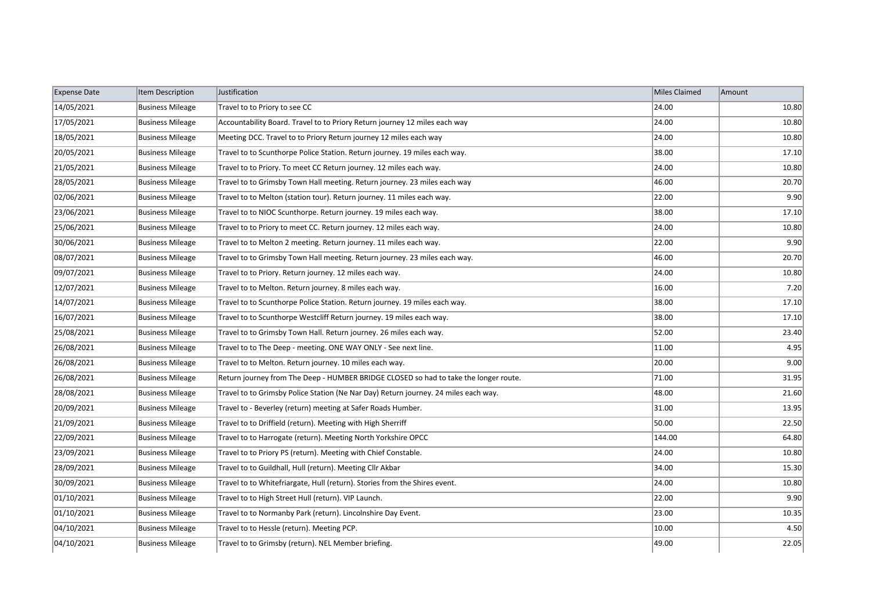| <b>Expense Date</b> | Item Description        | Justification                                                                        | Miles Claimed | Amount |
|---------------------|-------------------------|--------------------------------------------------------------------------------------|---------------|--------|
| 14/05/2021          | <b>Business Mileage</b> | Travel to to Priory to see CC                                                        | 24.00         | 10.80  |
| 17/05/2021          | <b>Business Mileage</b> | Accountability Board. Travel to to Priory Return journey 12 miles each way           | 24.00         | 10.80  |
| 18/05/2021          | <b>Business Mileage</b> | Meeting DCC. Travel to to Priory Return journey 12 miles each way                    | 24.00         | 10.80  |
| 20/05/2021          | <b>Business Mileage</b> | Travel to to Scunthorpe Police Station. Return journey. 19 miles each way.           | 38.00         | 17.10  |
| 21/05/2021          | <b>Business Mileage</b> | Travel to to Priory. To meet CC Return journey. 12 miles each way.                   | 24.00         | 10.80  |
| 28/05/2021          | <b>Business Mileage</b> | Travel to to Grimsby Town Hall meeting. Return journey. 23 miles each way            | 46.00         | 20.70  |
| 02/06/2021          | <b>Business Mileage</b> | Travel to to Melton (station tour). Return journey. 11 miles each way.               | 22.00         | 9.90   |
| 23/06/2021          | <b>Business Mileage</b> | Travel to to NIOC Scunthorpe. Return journey. 19 miles each way.                     | 38.00         | 17.10  |
| 25/06/2021          | <b>Business Mileage</b> | Travel to to Priory to meet CC. Return journey. 12 miles each way.                   | 24.00         | 10.80  |
| 30/06/2021          | <b>Business Mileage</b> | Travel to to Melton 2 meeting. Return journey. 11 miles each way.                    | 22.00         | 9.90   |
| 08/07/2021          | <b>Business Mileage</b> | Travel to to Grimsby Town Hall meeting. Return journey. 23 miles each way.           | 46.00         | 20.70  |
| 09/07/2021          | <b>Business Mileage</b> | Travel to to Priory. Return journey. 12 miles each way.                              | 24.00         | 10.80  |
| 12/07/2021          | <b>Business Mileage</b> | Travel to to Melton. Return journey. 8 miles each way.                               | 16.00         | 7.20   |
| 14/07/2021          | <b>Business Mileage</b> | Travel to to Scunthorpe Police Station. Return journey. 19 miles each way.           | 38.00         | 17.10  |
| 16/07/2021          | <b>Business Mileage</b> | Travel to to Scunthorpe Westcliff Return journey. 19 miles each way.                 | 38.00         | 17.10  |
| 25/08/2021          | <b>Business Mileage</b> | Travel to to Grimsby Town Hall. Return journey. 26 miles each way.                   | 52.00         | 23.40  |
| 26/08/2021          | <b>Business Mileage</b> | Travel to to The Deep - meeting. ONE WAY ONLY - See next line.                       | 11.00         | 4.95   |
| 26/08/2021          | <b>Business Mileage</b> | Travel to to Melton. Return journey. 10 miles each way.                              | 20.00         | 9.00   |
| 26/08/2021          | <b>Business Mileage</b> | Return journey from The Deep - HUMBER BRIDGE CLOSED so had to take the longer route. | 71.00         | 31.95  |
| 28/08/2021          | <b>Business Mileage</b> | Travel to to Grimsby Police Station (Ne Nar Day) Return journey. 24 miles each way.  | 48.00         | 21.60  |
| 20/09/2021          | <b>Business Mileage</b> | Travel to - Beverley (return) meeting at Safer Roads Humber.                         | 31.00         | 13.95  |
| 21/09/2021          | <b>Business Mileage</b> | Travel to to Driffield (return). Meeting with High Sherriff                          | 50.00         | 22.50  |
| 22/09/2021          | <b>Business Mileage</b> | Travel to to Harrogate (return). Meeting North Yorkshire OPCC                        | 144.00        | 64.80  |
| 23/09/2021          | <b>Business Mileage</b> | Travel to to Priory PS (return). Meeting with Chief Constable.                       | 24.00         | 10.80  |
| 28/09/2021          | <b>Business Mileage</b> | Travel to to Guildhall, Hull (return). Meeting Cllr Akbar                            | 34.00         | 15.30  |
| 30/09/2021          | <b>Business Mileage</b> | Travel to to Whitefriargate, Hull (return). Stories from the Shires event.           | 24.00         | 10.80  |
| 01/10/2021          | <b>Business Mileage</b> | Travel to to High Street Hull (return). VIP Launch.                                  | 22.00         | 9.90   |
| 01/10/2021          | <b>Business Mileage</b> | Travel to to Normanby Park (return). Lincolnshire Day Event.                         | 23.00         | 10.35  |
| 04/10/2021          | <b>Business Mileage</b> | Travel to to Hessle (return). Meeting PCP.                                           | 10.00         | 4.50   |
| 04/10/2021          | <b>Business Mileage</b> | Travel to to Grimsby (return). NEL Member briefing.                                  | 49.00         | 22.05  |